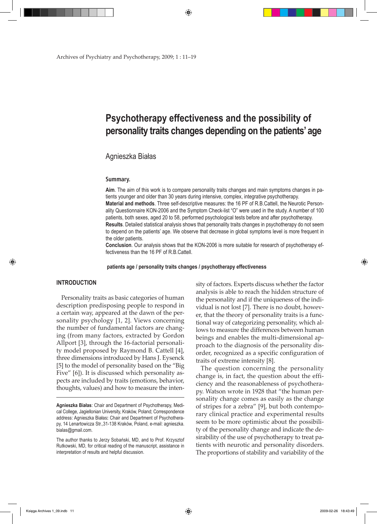Archives of Psychiatry and Psychotherapy, 2009; 1 : 11–19

## **Psychotherapy effectiveness and the possibility of personality traits changes depending on the patients' age**

## Agnieszka Białas

#### **Summary.**

**Aim**. The aim of this work is to compare personality traits changes and main symptoms changes in patients younger and older than 30 years during intensive, complex, integrative psychotherapy. **Material and methods**. Three self-descriptive measures: the 16 PF of R.B.Cattell, the Neurotic Personality Questionnaire KON-2006 and the Symptom Check-list "O" were used in the study. A number of 100 patients, both sexes, aged 20 to 58, performed psychological tests before and after psychotherapy. **Results**. Detailed statistical analysis shows that personality traits changes in psychotherapy do not seem to depend on the patients' age. We observe that decrease in global symptoms level is more frequent in the older patients.

**Conclusion**. Our analysis shows that the KON-2006 is more suitable for research of psychotherapy effectiveness than the 16 PF of R.B.Cattell.

 **patients age / personality traits changes / psychotherapy effectiveness**

## **INTRODUCTION**

⊕

Personality traits as basic categories of human description predisposing people to respond in a certain way, appeared at the dawn of the personality psychology [1, 2]. Views concerning the number of fundamental factors are changing (from many factors, extracted by Gordon Allport [3], through the 16-factorial personality model proposed by Raymond B. Cattell [4], three dimensions introduced by Hans J. Eysenck [5] to the model of personality based on the "Big Five" [6]). It is discussed which personality aspects are included by traits (emotions, behavior, thoughts, values) and how to measure the intensity of factors. Experts discuss whether the factor analysis is able to reach the hidden structure of the personality and if the uniqueness of the individual is not lost [7]. There is no doubt, however, that the theory of personality traits is a functional way of categorizing personality, which allows to measure the differences between human beings and enables the multi-dimensional approach to the diagnosis of the personality disorder, recognized as a specific configuration of traits of extreme intensity [8].

The question concerning the personality change is, in fact, the question about the efficiency and the reasonableness of psychotherapy. Watson wrote in 1928 that "the human personality change comes as easily as the change of stripes for a zebra" [9], but both contemporary clinical practice and experimental results seem to be more optimistic about the possibility of the personality change and indicate the desirability of the use of psychotherapy to treat patients with neurotic and personality disorders. The proportions of stability and variability of the

Księga Archives 1\_09.indb 11 2009-02-26 18:43:49

♠

**Agnieszka Białas**: Chair and Department of Psychotherapy, Medical College, Jagiellonian University, Kraków, Poland; Correspondence address: Agnieszka Białas**:** Chair and Department of Psychotherapy, 14 Lenartowicza Str.,31-138 Kraków, Poland, e-mail: agnieszka. bialas@gmail.com.

The author thanks to Jerzy Sobański, MD, and to Prof. Krzysztof Rutkowski, MD, for critical reading of the manuscript, assistance in interpretation of results and helpful discussion.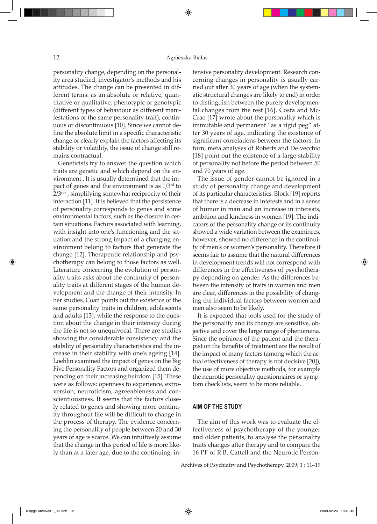personality change, depending on the personality area studied, investigator's methods and his attitudes. The change can be presented in different terms: as an absolute or relative, quantitative or qualitative, phenotypic or genotypic (different types of behaviour as different manifestations of the same personality trait), continuous or discontinuous [10]. Since we cannot define the absolute limit in a specific characteristic change or clearly explain the factors affecting its stability or volatility, the issue of change still remains contractual.

Geneticists try to answer the question which traits are genetic and which depend on the environment . It is usually determined that the impact of genes and the environment is as  $1/3<sup>rd</sup>$  to  $2/3^{rds}$ , simplifying somewhat reciprocity of their interaction [11]. It is believed that the persistence of personality corresponds to genes and some environmental factors, such as the closure in certain situations. Factors associated with learning, with insight into one's functioning and the situation and the strong impact of a changing environment belong to factors that generate the change [12]. Therapeutic relationship and psychotherapy can belong to those factors as well. Literature concerning the evolution of personality traits asks about the continuity of personality traits at different stages of the human development and the change of their intensity. In her studies, Coan points out the existence of the same personality traits in children, adolescents and adults [13], while the response to the question about the change in their intensity during the life is not so unequivocal. There are studies showing the considerable consistency and the stability of personality characteristics and the increase in their stability with one's ageing [14]. Loehlin examined the impact of genes on the Big Five Personality Factors and organized them depending on their increasing heirdom [15]. These were as follows: openness to experience, extroversion, neuroticism, agreeableness and conscientiousness. It seems that the factors closely related to genes and showing more continuity throughout life will be difficult to change in the process of therapy. The evidence concerning the personality of people between 20 and 30 years of age is scarce. We can intuitively assume that the change in this period of life is more likely than at a later age, due to the continuing, intensive personality development. Research concerning changes in personality is usually carried out after 30 years of age (when the systematic structural changes are likely to end) in order to distinguish between the purely developmental changes from the rest [16]. Costa and Mc-Crae [17] wrote about the personality which is immutable and permanent "as a rigid peg" after 30 years of age, indicating the existence of significant correlations between the factors. In turn, meta analyses of Roberts and Delvecchio [18] point out the existence of a large stability of personality not before the period between 50 and 70 years of age.

The issue of gender cannot be ignored in a study of personality change and development of its particular characteristics. Block [19] reports that there is a decrease in interests and in a sense of humor in man and an increase in interests, ambition and kindness in women [19]. The indicators of the personality change or its continuity showed a wide variation between the examinees, however, showed no difference in the continuity of men's or women's personality. Therefore it seems fair to assume that the natural differences in development trends will not correspond with differences in the effectiveness of psychotherapy depending on gender. As the differences between the intensity of traits in women and men are clear, differences in the possibility of changing the individual factors between women and men also seem to be likely.

It is expected that tools used for the study of the personality and its change are sensitive, objective and cover the large range of phenomena. Since the opinions of the patient and the therapist on the benefits of treatment are the result of the impact of many factors (among which the actual effectiveness of therapy is not decisive [20]), the use of more objective methods, for example the neurotic personality questionnaires or symptom checklists, seem to be more reliable.

## **AIM OF THE STUDY**

The aim of this work was to evaluate the effectiveness of psychotherapy of the younger and older patients, to analyse the personality traits changes after therapy and to compare the 16 PF of R.B. Cattell and the Neurotic Person-

Archives of Psychiatry and Psychotherapy, 2009; 1 : 11–19

⊕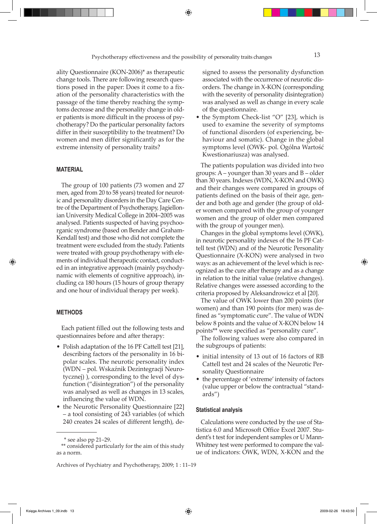ality Questionnaire (KON-2006)\* as therapeutic change tools. There are following research questions posed in the paper: Does it come to a fixation of the personality characteristics with the passage of the time thereby reaching the symptoms decrease and the personality change in older patients is more difficult in the process of psychotherapy? Do the particular personality factors differ in their susceptibility to the treatment? Do women and men differ significantly as for the extreme intensity of personality traits?

## **MATERIAL**

The group of 100 patients (73 women and 27 men, aged from 20 to 58 years) treated for neurotic and personality disorders in the Day Care Centre of the Department of Psychotherapy, Jagiellonian University Medical College in 2004–2005 was analysed. Patients suspected of having psychoorganic syndrome (based on Bender and Graham-Kendall test) and those who did not complete the treatment were excluded from the study. Patients were treated with group psychotherapy with elements of individual therapeutic contact, conducted in an integrative approach (mainly psychodynamic with elements of cognitive approach), including ca 180 hours (15 hours of group therapy and one hour of individual therapy per week).

#### **METHODS**

⊕

Each patient filled out the following tests and questionnaires before and after therapy:

- Polish adaptation of the 16 PF Cattell test [21], describing factors of the personality in 16 bipolar scales. The neurotic personality index (WDN – pol. Wskaźnik Dezintegracji Neurotycznej) ), corresponding to the level of dysfunction ("disintegration") of the personality was analysed as well as changes in 13 scales, influencing the value of WDN.
- the Neurotic Personality Questionnaire [22] – a tool consisting of 243 variables (of which 240 creates 24 scales of different length), de-

signed to assess the personality dysfunction associated with the occurrence of neurotic disorders. The change in X-KON (corresponding with the severity of personality disintegration) was analysed as well as change in every scale of the questionnaire.

• the Symptom Check-list "O" [23], which is used to examine the severity of symptoms of functional disorders (of experiencing, behaviour and somatic). Change in the global symptoms level (OWK- pol. Ogólna Wartość Kwestionariusza) was analysed.

The patients population was divided into two groups: A – younger than 30 years and B – older than 30 years. Indexes (WDN, X-KON and OWK) and their changes were compared in groups of patients defined on the basis of their age, gender and both age and gender (the group of older women compared with the group of younger women and the group of older men compared with the group of younger men).

Changes in the global symptoms level (OWK), in neurotic personality indexes of the 16 PF Cattell test (WDN) and of the Neurotic Personality Questionnaire (X-KON) were analysed in two ways: as an achievement of the level which is recognized as the cure after therapy and as a change in relation to the initial value (relative changes). Relative changes were assessed according to the criteria proposed by Aleksandrowicz et al [20].

The value of OWK lower than 200 points (for women) and than 190 points (for men) was defined as "symptomatic cure". The value of WDN below 8 points and the value of X-KON below 14 points\*\* were specified as "personality cure".

The following values were also compared in the subgroups of patients:

- initial intensity of 13 out of 16 factors of RB Cattell test and 24 scales of the Neurotic Personality Questionnaire
- the percentage of 'extreme' intensity of factors (value upper or below the contractual "standards")

#### **Statistical analysis**

Calculations were conducted by the use of Statistica 6.0 and Microsoft Office Excel 2007. Student's t test for independent samples or U Mann-Whitney test were performed to compare the value of indicators: OWK, WDN, X-KON and the

 <sup>\*</sup> see also pp 21–29.

<sup>\*\*</sup> considered particularly for the aim of this study as a norm.

Archives of Psychiatry and Psychotherapy, 2009; 1 : 11–19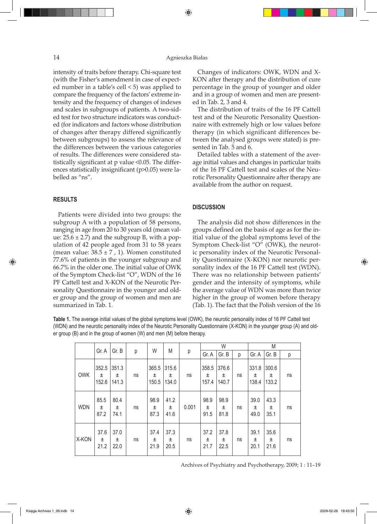## 14 Agnieszka Białas

⊕

intensity of traits before therapy. Chi-square test (with the Fisher's amendment in case of expected number in a table's cell < 5) was applied to compare the frequency of the factors' extreme intensity and the frequency of changes of indexes and scales in subgroups of patients*.* A two-sided test for two structure indicators was conducted (for indicators and factors whose distribution of changes after therapy differed significantly between subgroups) to assess the relevance of the differences between the various categories of results. The differences were considered statistically significant at p value <0.05. The differences statistically insignificant (p>0.05) were labelled as "ns".

## **RESULTS**

⊕

Patients were divided into two groups: the subgroup A with a population of 58 persons, ranging in age from 20 to 30 years old (mean value:  $25.6 \pm 2.7$ ) and the subgroup B, with a population of 42 people aged from 31 to 58 years (mean value:  $38.5 \pm 7$ , 1). Women constituted 77.6% of patients in the younger subgroup and 66.7% in the older one. The initial value of OWK of the Symptom Check-list "O", WDN of the 16 PF Cattell test and X-KON of the Neurotic Personality Questionnaire in the younger and older group and the group of women and men are summarized in Tab. 1.

Changes of indicators: OWK, WDN and X-KON after therapy and the distribution of cure percentage in the group of younger and older and in a group of women and men are presented in Tab. 2, 3 and 4.

The distribution of traits of the 16 PF Cattell test and of the Neurotic Personality Questionnaire with extremely high or low values before therapy (in which significant differences between the analysed groups were stated) is presented in Tab. 5 and 6.

Detailed tables with a statement of the average initial values and changes in particular traits of the 16 PF Cattell test and scales of the Neurotic Personality Questionnaire after therapy are available from the author on request.

## **DISCUSSION**

The analysis did not show differences in the groups defined on the basis of age as for the initial value of the global symptoms level of the Symptom Check-list "O" (OWK), the neurotic personality index of the Neurotic Personality Questionnaire (X-KON) nor neurotic personality index of the 16 PF Cattell test (WDN). There was no relationship between patients' gender and the intensity of symptoms, while the average value of WDN was more than twice higher in the group of women before therapy (Tab. 1). The fact that the Polish version of the 16

**Table 1.** The average initial values of the global symptoms level (OWK), the neurotic personality index of 16 PF Cattell test (WDN) and the neurotic personality index of the Neurotic Personality Questionnaire (X-KON) in the younger group (A) and older group (B) and in the group of women (W) and men (M) before therapy.

|            |                     |                     |    |                     | M                     |       |                     | W                   |    | M                   |                     |    |  |
|------------|---------------------|---------------------|----|---------------------|-----------------------|-------|---------------------|---------------------|----|---------------------|---------------------|----|--|
|            | Gr. A               | Gr. B               | р  | W                   |                       | р     | Gr. A               | Gr. B               | р  | Gr. A               | Gr. B               | р  |  |
| <b>OWK</b> | 352.5<br>土<br>152.6 | 351.3<br>土<br>141.3 | ns | 365.5<br>土<br>150.5 | 315.6<br>土<br>134.0   | ns    | 358.5<br>士<br>157.4 | 376.6<br>土<br>140.7 | ns | 331.8<br>±<br>138.4 | 300.6<br>土<br>133.2 | ns |  |
| <b>WDN</b> | 85.5<br>土<br>87.2   | 80.4<br>±<br>74.1   | ns | 98.9<br>±<br>87.3   | 41.2<br>$\pm$<br>41.6 | 0.001 | 98.9<br>土<br>91.5   | 98.9<br>土<br>81.8   | ns | 39.0<br>土<br>49.0   | 43.3<br>土<br>35.1   | ns |  |
| X-KON      | 37.6<br>士<br>21.2   | 37.0<br>±<br>22.0   | ns | 37.4<br>±<br>21.9   | 37.3<br>±<br>20.5     | ns    | 37.2<br>土<br>21.7   | 37.8<br>土<br>22.5   | ns | 39.1<br>土<br>20.1   | 35.6<br>土<br>21.6   | ns |  |

Archives of Psychiatry and Psychotherapy, 2009; 1 : 11–19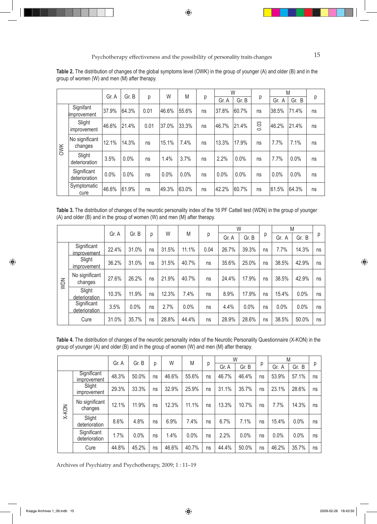|     |                              |       |       |      | W     | M     |    |       | W     |      | M        |       |    |  |
|-----|------------------------------|-------|-------|------|-------|-------|----|-------|-------|------|----------|-------|----|--|
|     |                              | Gr. A | Gr. B | р    |       |       | р  | Gr. A | Gr. B | р    | Gr.<br>A | Gr. B | р  |  |
| OWK | Signifant<br>improvement     | 37.9% | 64.3% | 0.01 | 46.6% | 55.6% | ns | 37.8% | 60.7% | ns   | 38.5%    | 71.4% | ns |  |
|     | Slight<br>improvement        | 46.6% | 21.4% | 0.01 | 37.0% | 33.3% | ns | 46.7% | 21.4% | 0.03 | 46.2%    | 21.4% | ns |  |
|     | No significant<br>changes    | 12.1% | 14.3% | ns   | 15.1% | 7.4%  | ns | 13.3% | 17.9% | ns   | 7.7%     | 7.1%  | ns |  |
|     | Slight<br>deterioration      | 3.5%  | 0.0%  | ns   | 1.4%  | 3.7%  | ns | 2.2%  | 0.0%  | ns   | 7.7%     | 0.0%  | ns |  |
|     | Significant<br>deterioration | 0.0%  | 0.0%  | ns   | 0.0%  | 0.0%  | ns | 0.0%  | 0.0%  | ns   | $0.0\%$  | 0.0%  | ns |  |
|     | Symptomatic<br>cure          | 46.6% | 61.9% | ns   | 49.3% | 63.0% | ns | 42.2% | 60.7% | ns   | 61.5%    | 64.3% | ns |  |

**Table 2.** The distribution of changes of the global symptoms level (OWK) in the group of younger (A) and older (B) and in the group of women (W) and men (M) after therapy.

 $\bigoplus$ 

**Table 3.** The distribution of changes of the neurotic personality index of the 16 PF Cattell test (WDN) in the group of younger (A) and older (B) and in the group of women (W) and men (M) after therapy.

|            |                              |       |       |    |       |       |      | W     |       |    | M     |          |    |
|------------|------------------------------|-------|-------|----|-------|-------|------|-------|-------|----|-------|----------|----|
|            |                              | Gr. A | Gr. B | р  | W     | M     | р    | Gr. A | Gr. B | р  | Gr. A | Gr.<br>B | р  |
|            | Significant<br>improvement   | 22.4% | 31.0% | ns | 31.5% | 11.1% | 0.04 | 26.7% | 39.3% | ns | 7.7%  | 14.3%    | ns |
| <b>MDN</b> | Slight<br>improvement        | 36.2% | 31.0% | ns | 31.5% | 40.7% | ns   | 35.6% | 25.0% | ns | 38.5% | 42.9%    | ns |
|            | No significant<br>changes    | 27.6% | 26.2% | ns | 21.9% | 40.7% | ns   | 24.4% | 17.9% | ns | 38.5% | 42.9%    | ns |
|            | Slight<br>deterioration      | 10.3% | 11.9% | ns | 12.3% | 7.4%  | ns   | 8.9%  | 17.9% | ns | 15.4% | 0.0%     | ns |
|            | Significant<br>deterioration | 3.5%  | 0.0%  | ns | 2.7%  | 0.0%  | ns   | 4.4%  | 0.0%  | ns | 0.0%  | 0.0%     | ns |
|            | Cure                         | 31.0% | 35.7% | ns | 28.8% | 44.4% | ns   | 28.9% | 28.6% | ns | 38.5% | 50.0%    | ns |

**Table 4.** The distribution of changes of the neurotic personality index of the Neurotic Personality Questionnaire (X-KON) in the group of younger (A) and older (B) and in the group of women (W) and men (M) after therapy.

|       |                              |       |       |    |       | M     |    | W     |       |    | M        |       |    |
|-------|------------------------------|-------|-------|----|-------|-------|----|-------|-------|----|----------|-------|----|
|       |                              | Gr. A | Gr. B | p  | W     |       | р  | Gr. A | Gr. B | р  | Gr.<br>A | Gr. B | р  |
| X-KON | Significant<br>improvement   | 48.3% | 50.0% | ns | 46.6% | 55.6% | ns | 46.7% | 46.4% | ns | 53.9%    | 57.1% | ns |
|       | Slight<br>improvement        | 29.3% | 33.3% | ns | 32.9% | 25.9% | ns | 31.1% | 35.7% | ns | 23.1%    | 28.6% | ns |
|       | No significant<br>changes    | 12.1% | 11.9% | ns | 12.3% | 11.1% | ns | 13.3% | 10.7% | ns | 7.7%     | 14.3% | ns |
|       | Slight<br>deterioration      | 8.6%  | 4.8%  | ns | 6.9%  | 7.4%  | ns | 6.7%  | 7.1%  | ns | 15.4%    | 0.0%  | ns |
|       | Significant<br>deterioration | 1.7%  | 0.0%  | ns | 1.4%  | 0.0%  | ns | 2.2%  | 0.0%  | ns | 0.0%     | 0.0%  | ns |
|       | Cure                         | 44.8% | 45.2% | ns | 46.6% | 40.7% | ns | 44.4% | 50.0% | ns | 46.2%    | 35.7% | ns |

Archives of Psychiatry and Psychotherapy, 2009; 1 : 11–19

⊕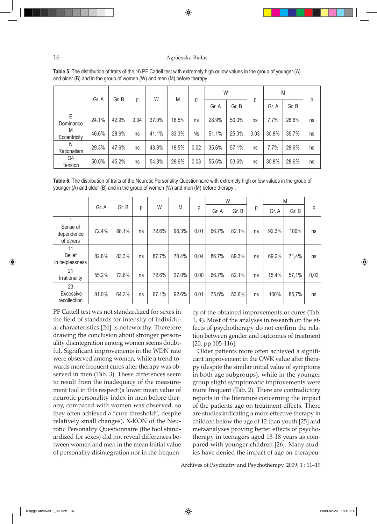## 16 Agnieszka Białas

⊕

|                   | Gr. A | Gr. B |      | W     | M<br>18.5%<br>33.3%<br>18.5%<br>29.6% |      | W     |       |      | M     |       |    |
|-------------------|-------|-------|------|-------|---------------------------------------|------|-------|-------|------|-------|-------|----|
|                   |       |       | р    |       |                                       | р    | Gr. A | Gr. B | р    | Gr. A | Gr. B | р  |
| E<br>Dominance    | 24.1% | 42.9% | 0.04 | 37.0% |                                       | ns   | 28.9% | 50.0% | ns   | 7.7%  | 28,6% | ns |
| M<br>Eccentricity | 46.6% | 28.6% | ns   | 41.1% |                                       | Ns   | 51.1% | 25.0% | 0.03 | 30.8% | 35,7% | ns |
| N<br>Rationalism  | 29.3% | 47.6% | ns   | 43.8% |                                       | 0.02 | 35.6% | 57.1% | ns   | 7.7%  | 28,6% | ns |
| Q4<br>Tension     | 50.0% | 45.2% | ns   | 54.8% |                                       | 0.03 | 55.6% | 53.6% | ns   | 30.8% | 28,6% | ns |

**Table 5.** The distribution of traits of the 16 PF Cattell test with extremely high or low values in the group of younger (A) and older (B) and in the group of women (W) and men (M) before therapy.

**Table 6.** The distribution of traits of the Neurotic Personality Questionnaire with extremely high or low values in the group of younger (A) and older (B) and in the group of women (W) and men (M) before therapy .

|                                        |       |       |    |       |       |      |       | W     |    | M     |       |      |
|----------------------------------------|-------|-------|----|-------|-------|------|-------|-------|----|-------|-------|------|
|                                        | Gr. A | Gr. B | р  | W     | M     | р    | Gr. A | Gr. B | р  | Gr. A | Gr. B | p    |
| Sense of<br>dependence<br>of others    | 72.4% | 88.1% | ns | 72.6% | 96.3% | 0.01 | 66.7% | 82.1% | ns | 92.3% | 100%  | ns   |
| 11<br><b>Belief</b><br>in helplessness | 82.8% | 83.3% | ns | 87.7% | 70.4% | 0.04 | 86.7% | 89.3% | ns | 69.2% | 71,4% | ns   |
| 21<br>Irrationality                    | 55.2% | 73.8% | ns | 72.6% | 37.0% | 0.00 | 66.7% | 82.1% | ns | 15.4% | 57,1% | 0,03 |
| 23<br>Excessive<br>recollection        | 81.0% | 64.3% | ns | 67.1% | 92.6% | 0.01 | 75.6% | 53.6% | ns | 100%  | 85,7% | ns   |

PF Cattell test was not standardized for sexes in the field of standards for intensity of individual characteristics [24] is noteworthy. Therefore drawing the conclusion about stronger personality disintegration among women seems doubtful. Significant improvements in the WDN rate were observed among women, while a trend towards more frequent cures after therapy was observed in men (Tab. 3). These differences seem to result from the inadequacy of the measurement tool in this respect (a lower mean value of neurotic personality index in men before therapy, compared with women was observed, so they often achieved a "cure threshold", despite relatively small changes). X-KON of the Neurotic Personality Questionnaire (the tool standardized for sexes) did not reveal differences between women and men in the mean initial value of personality disintegration nor in the frequency of the obtained improvements or cures (Tab. 1, 4). Most of the analyses in research on the effects of psychotherapy do not confirm the relation between gender and outcomes of treatment [20, pp 105-116].

Older patients more often achieved a significant improvement in the OWK value after therapy (despite the similar initial value of symptoms in both age subgroups), while in the younger group slight symptomatic improvements were more frequent (Tab. 2). There are contradictory reports in the literature concerning the impact of the patients age on treatment effects*.* There are studies indicating a more effective therapy in children below the age of 12 than youth [25] and metaanalyses proving better effects of psychotherapy in teenagers aged 13-18 years as compared with younger children [26]. Many studies have denied the impact of age on therapeu-

Archives of Psychiatry and Psychotherapy, 2009; 1 : 11–19

⊕

◈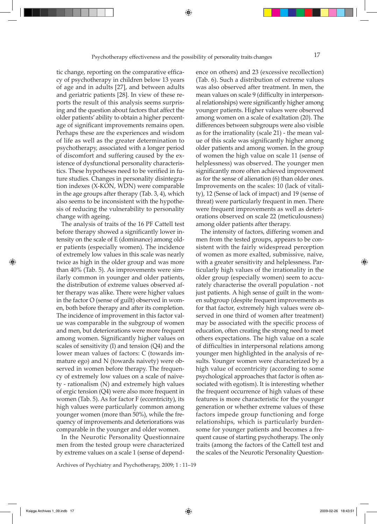tic change, reporting on the comparative efficacy of psychotherapy in children below 13 years of age and in adults [27], and between adults and geriatric patients [28]. In view of these reports the result of this analysis seems surprising and the question about factors that affect the older patients' ability to obtain a higher percentage of significant improvements remains open. Perhaps these are the experiences and wisdom of life as well as the greater determination to psychotherapy, associated with a longer period of discomfort and suffering caused by the existence of dysfunctional personality characteristics. These hypotheses need to be verified in future studies*.* Changes in personality disintegration indexes (X-KON, WDN) were comparable in the age groups after therapy (Tab. 3, 4), which also seems to be inconsistent with the hypothesis of reducing the vulnerability to personality change with ageing.

The analysis of traits of the 16 PF Cattell test before therapy showed a significantly lower intensity on the scale of E (dominance) among older patients (especially women). The incidence of extremely low values in this scale was nearly twice as high in the older group and was more than 40% (Tab. 5). As improvements were similarly common in younger and older patients, the distribution of extreme values observed after therapy was alike. There were higher values in the factor O (sense of guilt) observed in women, both before therapy and after its completion. The incidence of improvement in this factor value was comparable in the subgroup of women and men, but deteriorations were more frequent among women. Significantly higher values on scales of sensitivity (I) and tension (Q4) and the lower mean values of factors: C (towards immature ego) and N (towards naivety) were observed in women before therapy. The frequency of extremely low values on a scale of naivety - rationalism (N) and extremely high values of ergic tension (Q4) were also more frequent in women (Tab. 5). As for factor F (eccentricity), its high values were particularly common among younger women (more than 50%), while the frequency of improvements and deteriorations was comparable in the younger and older women.

In the Neurotic Personality Questionnaire men from the tested group were characterized by extreme values on a scale 1 (sense of depend-

Archives of Psychiatry and Psychotherapy, 2009; 1 : 11–19

ence on others) and 23 (excessive recollection) (Tab. 6). Such a distribution of extreme values was also observed after treatment. In men, the mean values on scale 9 (difficulty in interpersonal relationships) were significantly higher among younger patients. Higher values were observed among women on a scale of exaltation (20). The differences between subgroups were also visible as for the irrationality (scale 21) - the mean value of this scale was significantly higher among older patients and among women. In the group of women the high value on scale 11 (sense of helplessness) was observed. The younger men significantly more often achieved improvement as for the sense of alienation (6) than older ones. Improvements on the scales: 10 (lack of vitality), 12 (Sense of lack of impact) and 19 (sense of threat) were particularly frequent in men. There were frequent improvements as well as deteriorations observed on scale 22 (meticulousness) among older patients after therapy.

The intensity of factors, differing women and men from the tested groups, appears to be consistent with the fairly widespread perception of women as more exalted, submissive, naive, with a greater sensitivity and helplessness. Particularly high values of the irrationality in the older group (especially women) seem to accurately characterise the overall population - not just patients. A high sense of guilt in the women subgroup (despite frequent improvements as for that factor, extremely high values were observed in one third of women after treatment) may be associated with the specific process of education, often creating the strong need to meet others expectations. The high value on a scale of difficulties in interpersonal relations among younger men highlighted in the analysis of results. Younger women were characterized by a high value of eccentricity (according to some psychological approaches that factor is often associated with egotism). It is interesting whether the frequent occurrence of high values of these features is more characteristic for the younger generation or whether extreme values of these factors impede group functioning and forge relationships, which is particularly burdensome for younger patients and becomes a frequent cause of starting psychotherapy. The only traits (among the factors of the Cattell test and the scales of the Neurotic Personality Question-

Księga Archives 1\_09.indb 17 2009-02-26 18:43:51

⊕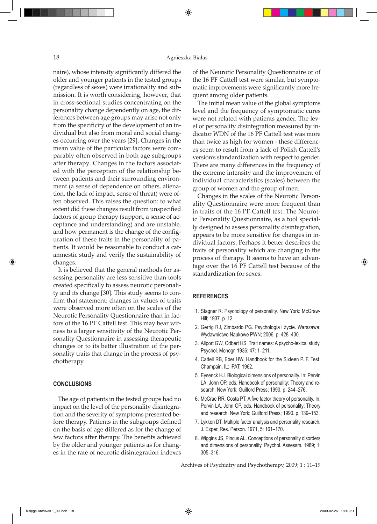#### 18 Agnieszka Białas

⊕

naire), whose intensity significantly differed the older and younger patients in the tested groups (regardless of sexes) were irrationality and submission. It is worth considering, however, that in cross-sectional studies concentrating on the personality change dependently on age, the differences between age groups may arise not only from the specificity of the development of an individual but also from moral and social changes occurring over the years [29]. Changes in the mean value of the particular factors were comparably often observed in both age subgroups after therapy*.* Changes in the factors associated with the perception of the relationship between patients and their surrounding environment (a sense of dependence on others, alienation, the lack of impact, sense of threat) were often observed. This raises the question: to what extent did these changes result from unspecified factors of group therapy (support, a sense of acceptance and understanding) and are unstable, and how permanent is the change of the configuration of these traits in the personality of patients. It would be reasonable to conduct a catamnestic study and verify the sustainability of changes.

It is believed that the general methods for assessing personality are less sensitive than tools created specifically to assess neurotic personality and its change [30]. This study seems to confirm that statement: changes in values of traits were observed more often on the scales of the Neurotic Personality Questionnaire than in factors of the 16 PF Cattell test. This may bear witness to a larger sensitivity of the Neurotic Personality Questionnaire in assessing therapeutic changes or to its better illustration of the personality traits that change in the process of psychotherapy.

#### **CONCLUSIONS**

⊕

The age of patients in the tested groups had no impact on the level of the personality disintegration and the severity of symptoms presented before therapy. Patients in the subgroups defined on the basis of age differed as for the change of few factors after therapy. The benefits achieved by the older and younger patients as for changes in the rate of neurotic disintegration indexes

of the Neurotic Personality Questionnaire or of the 16 PF Cattell test were similar, but symptomatic improvements were significantly more frequent among older patients.

The initial mean value of the global symptoms level and the frequency of symptomatic cures were not related with patients gender. The level of personality disintegration measured by indicator WDN of the 16 PF Cattell test was more than twice as high for women - these differences seem to result from a lack of Polish Cattell's version's standardization with respect to gender. There are many differences in the frequency of the extreme intensity and the improvement of individual characteristics (scales) between the group of women and the group of men.

Changes in the scales of the Neurotic Personality Questionnaire were more frequent than in traits of the 16 PF Cattell test. The Neurotic Personality Questionnaire, as a tool specially designed to assess personality disintegration, appears to be more sensitive for changes in individual factors. Perhaps it better describes the traits of personality which are changing in the process of therapy. It seems to have an advantage over the 16 PF Cattell test because of the standardization for sexes.

## **REFERENCES**

- 1. Stagner R. Psychology of personality. New York: McGraw-Hill; 1937. p. 12.
- 2. Gerrig RJ, Zimbardo PG. Psychologia i życie. Warszawa: Wydawnictwo Naukowe PWN; 2006. p. 428–430.
- 3. Allport GW, Odbert HS. Trait names: A psycho-lexical study. Psychol. Monogr. 1936; 47: 1–211.
- 4. Cattell RB, Eber HW. Handbook for the Sixteen P. F. Test. Champain, IL: IPAT; 1962.
- 5. Eysenck HJ. Biological dimensions of personality. In: Pervin LA, John OP, eds. Handbook of personality: Theory and research. New York: Guilford Press; 1990. p. 244–276.
- 6. McCrae RR, Costa PT. A five factor theory of personality. In: Pervin LA, John OP, eds. Handbook of personality: Theory and research. New York: Guilford Press; 1990. p. 139–153.
- 7. Lykken DT. Multiple factor analysis and personality research. J. Exper. Res. Person. 1971, 5: 161–170.
- 8. Wiggins JS, Pincus AL. Conceptions of personality disorders and dimensions of personality. Psychol. Assessm. 1989; 1: 305–316.

Archives of Psychiatry and Psychotherapy, 2009; 1 : 11–19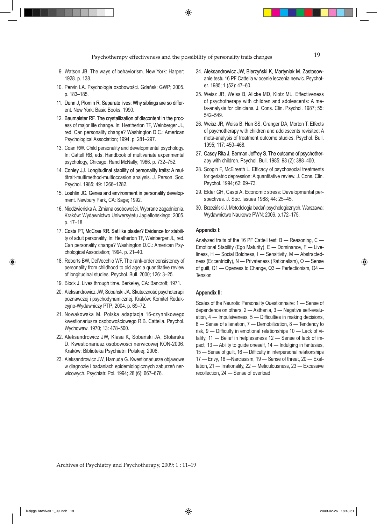- 9. Watson JB. The ways of behaviorism. New York: Harper; 1928. p. 138.
- 10. Pervin LA. Psychologia osobowości. Gdańsk: GWP; 2005. p. 183–185.
- 11. Dunn J, Plomin R. Separate lives: Why siblings are so different. New York: Basic Books; 1990.
- 12. Baumaister RF. The crystallization of discontent in the process of major life change. In: Heatherton TF, Weinberger JL, red. Can personality change? Washington D.C.: American Psychological Association; 1994. p. 281–297.
- 13. Coan RW. Child personality and developmental psychology. In: Cattell RB, eds. Handbook of multivariate experimental psychology, Chicago: Rand McNally; 1966. p. 732–752.
- 14. Conley JJ. Longitudinal stability of personality traits: A multitrait-multimethod-multioccasion analysis. J. Person. Soc. Psychol. 1985; 49: 1266–1282.
- 15. Loehlin JC. Genes and environment in personality development. Newbury Park, CA: Sage; 1992.
- 16. Niedźwieńska A. Zmiana osobowości. Wybrane zagadnienia. Kraków: Wydawnictwo Uniwersytetu Jagiellońskiego; 2005. p. 17–18.
- 17. Costa PT, McCrae RR. Set like plaster? Evidence for stability of adult personality. In: Heatherton TF, Weinberger JL, red. Can personality change? Washington D.C.: American Psychological Association; 1994. p. 21–40.
- 18. Roberts BW, DelVecchio WF. The rank-order consistency of personality from childhood to old age: a quantitative review of longitudinal studies. Psychol. Bull. 2000; 126: 3–25.
- 19. Block J. Lives through time. Berkeley, CA: Bancroft; 1971.
- 20. Aleksandrowicz JW, Sobański JA. Skuteczność psychoterapii poznawczej i psychodynamicznej. Kraków: Komitet Redakcyjno-Wydawniczy PTP; 2004. p. 69–72.
- 21. Nowakowska M. Polska adaptacja 16-czynnikowego kwestionariusza osobowościowego R.B. Cattella. Psychol. Wychowaw. 1970; 13: 478–500.
- 22. Aleksandrowicz JW, Klasa K, Sobański JA, Stolarska D. Kwestionariusz osobowości nerwicowej KON-2006. Kraków: Biblioteka Psychiatrii Polskiej; 2006.
- 23. Aleksandrowicz JW, Hamuda G. Kwestionariusze objawowe w diagnozie i badaniach epidemiologicznych zaburzeń nerwicowych. Psychiatr. Pol. 1994; 28 (6): 667–676.
- 24. Aleksandrowicz JW, Bierzyński K, Martyniak M. Zastosowanie testu 16 PF Cattella w ocenie leczenia nerwic. Psychoter. 1985; 1 (52): 47–60.
- 25. Weisz JR, Weiss B, Alicke MD, Klotz ML. Effectiveness of psychotherapy with children and adolescents: A meta-analysis for clinicians. J. Cons. Clin. Psychol. 1987; 55: 542–549.
- 26. Weisz JR, Weiss B, Han SS, Granger DA, Morton T. Effects of psychotherapy with children and adolescents revisited: A meta-analysis of treatment outcome studies. Psychol. Bull. 1995; 117: 450–468.
- 27. Casey Rita J, Berman Jeffrey S. The outcome of psychotherapy with children. Psychol. Bull. 1985; 98 (2): 388–400.
- 28. Scogin F, McElreath L. Efficacy of psychosocial treatments for geriatric depression: A quantitative review. J. Cons. Clin. Psychol. 1994; 62: 69–73.
- 29. Elder GH, Caspi A. Economic stress: Developmental perspectives. J. Soc. Issues 1988; 44: 25–45.
- 30. Brzeziński J. Metodologia badań psychologicznych. Warszawa: Wydawnictwo Naukowe PWN; 2006. p.172–175.

#### **Appendix I:**

Analyzed traits of the 16 PF Cattell test: B — Reasoning, C — Emotional Stability (Ego Maturity), E — Dominance, F — Liveliness, H — Social Boldness, I — Sensitivity, M — Abstractedness (Eccentricity), N — Privateness (Rationalism), O — Sense of guilt, Q1 — Openess to Change, Q3 — Perfectionism, Q4 — Tension

#### **Appendix II:**

Scales of the Neurotic Personality Questionnaire: 1 — Sense of dependence on others, 2 — Asthenia, 3 — Negative self-evaluation, 4 — Impulsiveness, 5 — Difficulties in making decisions, 6 — Sense of alienation, 7 — Demobilization, 8 — Tendency to risk, 9 — Difficulty in emotional relationships 10 — Lack of vitality, 11 — Belief in helplessness 12 — Sense of lack of impact, 13 — Ability to guide oneself, 14 — Indulging in fantasies, 15 — Sense of guilt, 16 — Difficulty in interpersonal relationships 17 — Envy, 18 —Narcissism, 19 — Sense of threat, 20 — Exaltation, 21 — Irrationality, 22 — Meticulousness, 23 — Excessive recollection, 24 — Sense of overload

Archives of Psychiatry and Psychotherapy, 2009; 1 : 11–19

⊕

◈